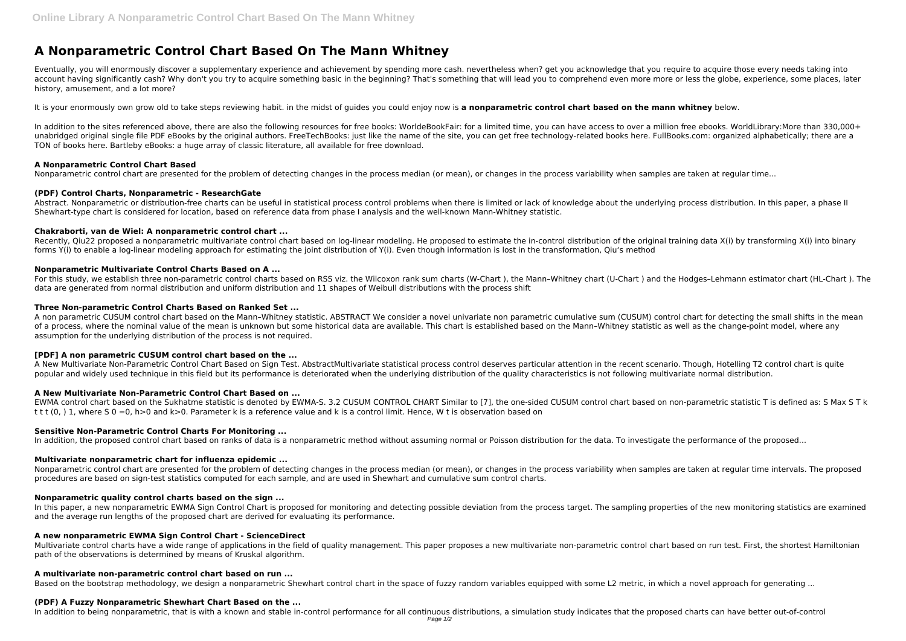# **A Nonparametric Control Chart Based On The Mann Whitney**

Eventually, you will enormously discover a supplementary experience and achievement by spending more cash. nevertheless when? get you acknowledge that you require to acquire those every needs taking into account having significantly cash? Why don't you try to acquire something basic in the beginning? That's something that will lead you to comprehend even more more or less the globe, experience, some places, later history, amusement, and a lot more?

In addition to the sites referenced above, there are also the following resources for free books: WorldeBookFair: for a limited time, you can have access to over a million free ebooks. WorldLibrary:More than 330,000+ unabridged original single file PDF eBooks by the original authors. FreeTechBooks: just like the name of the site, you can get free technology-related books here. FullBooks.com: organized alphabetically; there are a TON of books here. Bartleby eBooks: a huge array of classic literature, all available for free download.

It is your enormously own grow old to take steps reviewing habit. in the midst of guides you could enjoy now is **a nonparametric control chart based on the mann whitney** below.

Recently, Qiu22 proposed a nonparametric multivariate control chart based on log-linear modeling. He proposed to estimate the in-control distribution of the original training data X(i) by transforming X(i) into binary forms Y(i) to enable a log-linear modeling approach for estimating the joint distribution of Y(i). Even though information is lost in the transformation, Qiu's method

# **A Nonparametric Control Chart Based**

Nonparametric control chart are presented for the problem of detecting changes in the process median (or mean), or changes in the process variability when samples are taken at regular time...

For this study, we establish three non-parametric control charts based on RSS viz. the Wilcoxon rank sum charts (W-Chart ), the Mann-Whitney chart (U-Chart ) and the Hodges-Lehmann estimator chart (HL-Chart ). The data are generated from normal distribution and uniform distribution and 11 shapes of Weibull distributions with the process shift

# **(PDF) Control Charts, Nonparametric - ResearchGate**

Abstract. Nonparametric or distribution-free charts can be useful in statistical process control problems when there is limited or lack of knowledge about the underlying process distribution. In this paper, a phase II Shewhart-type chart is considered for location, based on reference data from phase I analysis and the well-known Mann-Whitney statistic.

## **Chakraborti, van de Wiel: A nonparametric control chart ...**

EWMA control chart based on the Sukhatme statistic is denoted by EWMA-S. 3.2 CUSUM CONTROL CHART Similar to [7], the one-sided CUSUM control chart based on non-parametric statistic T is defined as: S Max S T k t t t (0, ) 1, where S 0 =0, h>0 and k>0. Parameter k is a reference value and k is a control limit. Hence, W t is observation based on

## **Nonparametric Multivariate Control Charts Based on A ...**

Nonparametric control chart are presented for the problem of detecting changes in the process median (or mean), or changes in the process variability when samples are taken at regular time intervals. The proposed procedures are based on sign-test statistics computed for each sample, and are used in Shewhart and cumulative sum control charts.

In this paper, a new nonparametric EWMA Sign Control Chart is proposed for monitoring and detecting possible deviation from the process target. The sampling properties of the new monitoring statistics are examined and the average run lengths of the proposed chart are derived for evaluating its performance.

Multivariate control charts have a wide range of applications in the field of quality management. This paper proposes a new multivariate non-parametric control chart based on run test. First, the shortest Hamiltonian path of the observations is determined by means of Kruskal algorithm.

## **Three Non-parametric Control Charts Based on Ranked Set ...**

A non parametric CUSUM control chart based on the Mann–Whitney statistic. ABSTRACT We consider a novel univariate non parametric cumulative sum (CUSUM) control chart for detecting the small shifts in the mean of a process, where the nominal value of the mean is unknown but some historical data are available. This chart is established based on the Mann-Whitney statistic as well as the change-point model, where any assumption for the underlying distribution of the process is not required.

# **[PDF] A non parametric CUSUM control chart based on the ...**

A New Multivariate Non-Parametric Control Chart Based on Sign Test. AbstractMultivariate statistical process control deserves particular attention in the recent scenario. Though, Hotelling T2 control chart is quite popular and widely used technique in this field but its performance is deteriorated when the underlying distribution of the quality characteristics is not following multivariate normal distribution.

# **A New Multivariate Non-Parametric Control Chart Based on ...**

# **Sensitive Non-Parametric Control Charts For Monitoring ...**

In addition, the proposed control chart based on ranks of data is a nonparametric method without assuming normal or Poisson distribution for the data. To investigate the performance of the proposed...

# **Multivariate nonparametric chart for influenza epidemic ...**

# **Nonparametric quality control charts based on the sign ...**

#### **A new nonparametric EWMA Sign Control Chart - ScienceDirect**

#### **A multivariate non-parametric control chart based on run ...**

Based on the bootstrap methodology, we design a nonparametric Shewhart control chart in the space of fuzzy random variables equipped with some L2 metric, in which a novel approach for generating ...

#### **(PDF) A Fuzzy Nonparametric Shewhart Chart Based on the ...**

In addition to being nonparametric, that is with a known and stable in-control performance for all continuous distributions, a simulation study indicates that the proposed charts can have better out-of-control